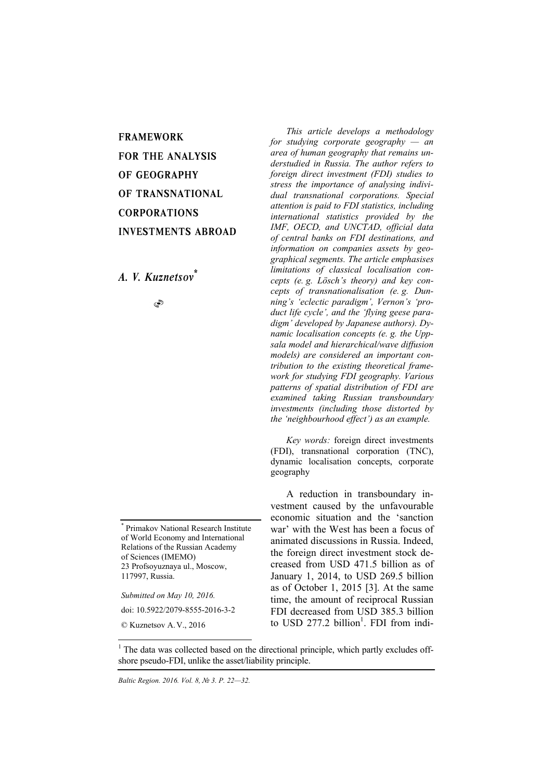FRAMEWORK FOR THE ANALYSIS OF GEOGRAPHY OF TRANSNATIONAL CORPORATIONS INVESTMENTS ABROAD

*A. V. Kuznetsov\**

S

\* Primakov National Research Institute of World Economy and International Relations of the Russian Academy of Sciences (IMEMO) 23 Profsoyuznaya ul., Moscow, 117997, Russia.

*Submitted on May 10, 2016.* 

doi: 10.5922/2079-8555-2016-3-2

l

*This article develops a methodology for studying corporate geography — an area of human geography that remains understudied in Russia. The author refers to foreign direct investment (FDI) studies to stress the importance of analysing individual transnational corporations. Special attention is paid to FDI statistics, including international statistics provided by the IMF, OECD, and UNCTAD, official data of central banks on FDI destinations, and information on companies assets by geographical segments. The article emphasises limitations of classical localisation concepts (e. g. Lösch's theory) and key concepts of transnationalisation (e. g. Dunning's 'eclectic paradigm', Vernon's 'product life cycle', and the 'flying geese paradigm' developed by Japanese authors). Dynamic localisation concepts (e. g. the Uppsala model and hierarchical/wave diffusion models) are considered an important contribution to the existing theoretical framework for studying FDI geography. Various patterns of spatial distribution of FDI are examined taking Russian transboundary investments (including those distorted by the 'neighbourhood effect') as an example.* 

*Key words:* foreign direct investments (FDI), transnational corporation (TNC), dynamic localisation concepts, corporate geography

A reduction in transboundary investment caused by the unfavourable economic situation and the 'sanction war' with the West has been a focus of animated discussions in Russia. Indeed, the foreign direct investment stock decreased from USD 471.5 billion as of January 1, 2014, to USD 269.5 billion as of October 1, 2015 [3]. At the same time, the amount of reciprocal Russian FDI decreased from USD 385.3 billion to USD 277.2 billion<sup>1</sup>. FDI from indi-

<sup>©</sup> Kuznetsov A.V., 2016

<sup>&</sup>lt;sup>1</sup> The data was collected based on the directional principle, which partly excludes offshore pseudo-FDI, unlike the asset/liability principle.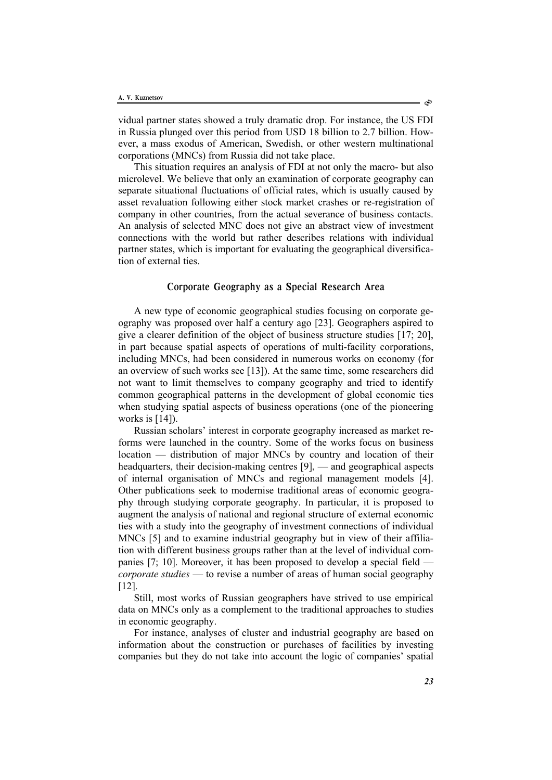vidual partner states showed a truly dramatic drop. For instance, the US FDI in Russia plunged over this period from USD 18 billion to 2.7 billion. However, a mass exodus of American, Swedish, or other western multinational corporations (MNCs) from Russia did not take place.

This situation requires an analysis of FDI at not only the macro- but also microlevel. We believe that only an examination of corporate geography can separate situational fluctuations of official rates, which is usually caused by asset revaluation following either stock market crashes or re-registration of company in other countries, from the actual severance of business contacts. An analysis of selected MNC does not give an abstract view of investment connections with the world but rather describes relations with individual partner states, which is important for evaluating the geographical diversification of external ties.

# Corporate Geography as a Special Research Area

A new type of economic geographical studies focusing on corporate geography was proposed over half a century ago [23]. Geographers aspired to give a clearer definition of the object of business structure studies [17; 20], in part because spatial aspects of operations of multi-facility corporations, including MNCs, had been considered in numerous works on economy (for an overview of such works see [13]). At the same time, some researchers did not want to limit themselves to company geography and tried to identify common geographical patterns in the development of global economic ties when studying spatial aspects of business operations (one of the pioneering works is [14]).

Russian scholars' interest in corporate geography increased as market reforms were launched in the country. Some of the works focus on business location — distribution of major MNCs by country and location of their headquarters, their decision-making centres [9], — and geographical aspects of internal organisation of MNCs and regional management models [4]. Other publications seek to modernise traditional areas of economic geography through studying corporate geography. In particular, it is proposed to augment the analysis of national and regional structure of external economic ties with a study into the geography of investment connections of individual MNCs [5] and to examine industrial geography but in view of their affiliation with different business groups rather than at the level of individual companies [7; 10]. Moreover, it has been proposed to develop a special field *corporate studies* — to revise a number of areas of human social geography [12].

Still, most works of Russian geographers have strived to use empirical data on MNCs only as a complement to the traditional approaches to studies in economic geography.

For instance, analyses of cluster and industrial geography are based on information about the construction or purchases of facilities by investing companies but they do not take into account the logic of companies' spatial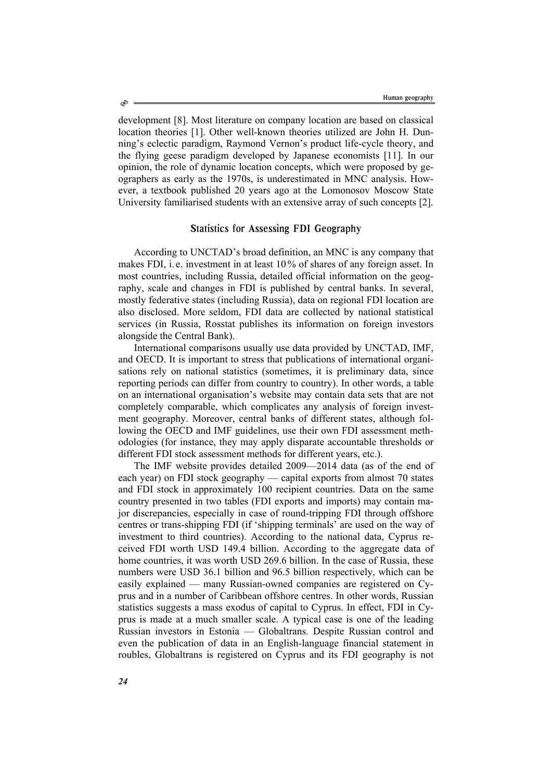development [8]. Most literature on company location are based on classical location theories [1]. Other well-known theories utilized are John H. Dunning's eclectic paradigm, Raymond Vernon's product life-cycle theory, and the flying geese paradigm developed by Japanese economists [11]. In our opinion, the role of dynamic location concepts, which were proposed by geographers as early as the 1970s, is underestimated in MNC analysis. However, a textbook published 20 years ago at the Lomonosov Moscow State University familiarised students with an extensive array of such concepts [2].

# Statistics for Assessing FDI Geography

According to UNCTAD's broad definition, an MNC is any company that makes FDI, i. e. investment in at least 10% of shares of any foreign asset. In most countries, including Russia, detailed official information on the geography, scale and changes in FDI is published by central banks. In several, mostly federative states (including Russia), data on regional FDI location are also disclosed. More seldom, FDI data are collected by national statistical services (in Russia, Rosstat publishes its information on foreign investors alongside the Central Bank).

International comparisons usually use data provided by UNCTAD, IMF, and OECD. It is important to stress that publications of international organisations rely on national statistics (sometimes, it is preliminary data, since reporting periods can differ from country to country). In other words, a table on an international organisation's website may contain data sets that are not completely comparable, which complicates any analysis of foreign investment geography. Moreover, central banks of different states, although following the OECD and IMF guidelines, use their own FDI assessment methodologies (for instance, they may apply disparate accountable thresholds or different FDI stock assessment methods for different years, etc.).

The IMF website provides detailed 2009—2014 data (as of the end of each year) on FDI stock geography — capital exports from almost 70 states and FDI stock in approximately 100 recipient countries. Data on the same country presented in two tables (FDI exports and imports) may contain major discrepancies, especially in case of round-tripping FDI through offshore centres or trans-shipping FDI (if 'shipping terminals' are used on the way of investment to third countries). According to the national data, Cyprus received FDI worth USD 149.4 billion. According to the aggregate data of home countries, it was worth USD 269.6 billion. In the case of Russia, these numbers were USD 36.1 billion and 96.5 billion respectively, which can be easily explained — many Russian-owned companies are registered on Cyprus and in a number of Caribbean offshore centres. In other words, Russian statistics suggests a mass exodus of capital to Cyprus. In effect, FDI in Cyprus is made at a much smaller scale. A typical case is one of the leading Russian investors in Estonia — Globaltrans. Despite Russian control and even the publication of data in an English-language financial statement in roubles, Globaltrans is registered on Cyprus and its FDI geography is not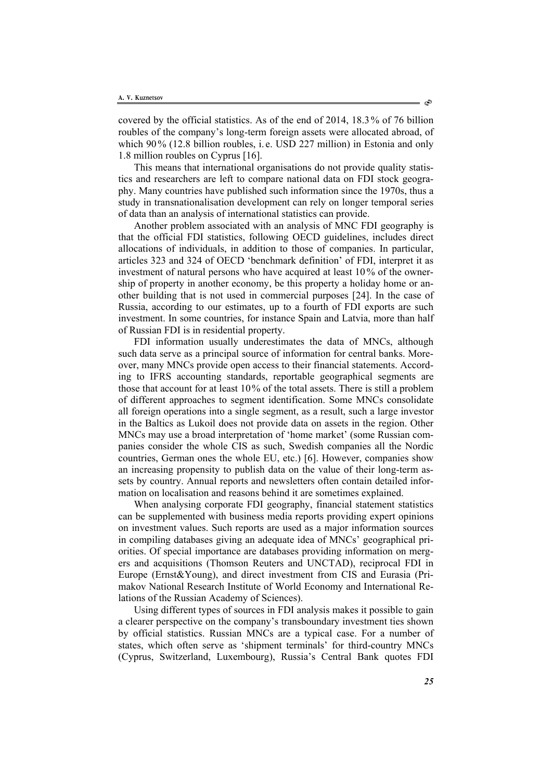covered by the official statistics. As of the end of 2014, 18.3% of 76 billion roubles of the company's long-term foreign assets were allocated abroad, of which 90% (12.8 billion roubles, i.e. USD 227 million) in Estonia and only 1.8 million roubles on Cyprus [16].

This means that international organisations do not provide quality statistics and researchers are left to compare national data on FDI stock geography. Many countries have published such information since the 1970s, thus a study in transnationalisation development can rely on longer temporal series of data than an analysis of international statistics can provide.

Another problem associated with an analysis of MNC FDI geography is that the official FDI statistics, following OECD guidelines, includes direct allocations of individuals, in addition to those of companies. In particular, articles 323 and 324 of OECD 'benchmark definition' of FDI, interpret it as investment of natural persons who have acquired at least 10% of the ownership of property in another economy, be this property a holiday home or another building that is not used in commercial purposes [24]. In the case of Russia, according to our estimates, up to a fourth of FDI exports are such investment. In some countries, for instance Spain and Latvia, more than half of Russian FDI is in residential property.

FDI information usually underestimates the data of MNCs, although such data serve as a principal source of information for central banks. Moreover, many MNCs provide open access to their financial statements. According to IFRS accounting standards, reportable geographical segments are those that account for at least 10% of the total assets. There is still a problem of different approaches to segment identification. Some MNCs consolidate all foreign operations into a single segment, as a result, such a large investor in the Baltics as Lukoil does not provide data on assets in the region. Other MNCs may use a broad interpretation of 'home market' (some Russian companies consider the whole CIS as such, Swedish companies all the Nordic countries, German ones the whole EU, etc.) [6]. However, companies show an increasing propensity to publish data on the value of their long-term assets by country. Annual reports and newsletters often contain detailed information on localisation and reasons behind it are sometimes explained.

When analysing corporate FDI geography, financial statement statistics can be supplemented with business media reports providing expert opinions on investment values. Such reports are used as a major information sources in compiling databases giving an adequate idea of MNCs' geographical priorities. Of special importance are databases providing information on mergers and acquisitions (Thomson Reuters and UNCTAD), reciprocal FDI in Europe (Ernst&Young), and direct investment from CIS and Eurasia (Primakov National Research Institute of World Economy and International Relations of the Russian Academy of Sciences).

Using different types of sources in FDI analysis makes it possible to gain a clearer perspective on the company's transboundary investment ties shown by official statistics. Russian MNCs are a typical case. For a number of states, which often serve as 'shipment terminals' for third-country MNCs (Cyprus, Switzerland, Luxembourg), Russia's Central Bank quotes FDI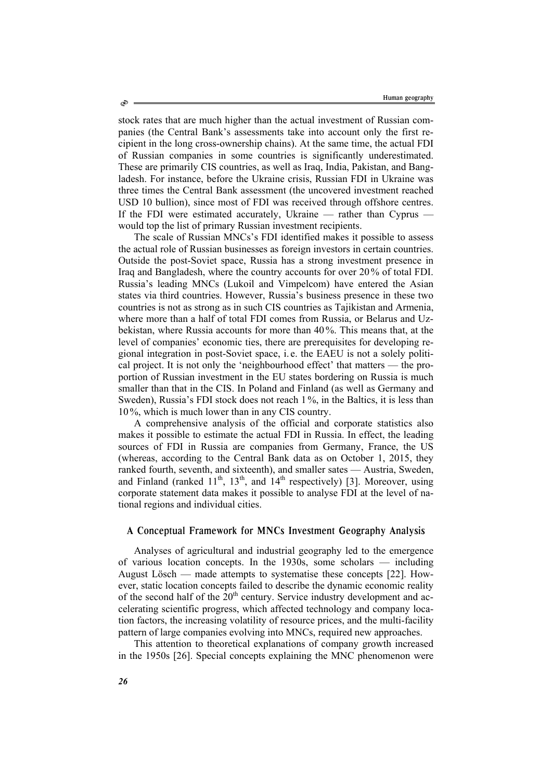stock rates that are much higher than the actual investment of Russian companies (the Central Bank's assessments take into account only the first recipient in the long cross-ownership chains). At the same time, the actual FDI of Russian companies in some countries is significantly underestimated. These are primarily CIS countries, as well as Iraq, India, Pakistan, and Bangladesh. For instance, before the Ukraine crisis, Russian FDI in Ukraine was three times the Central Bank assessment (the uncovered investment reached USD 10 bullion), since most of FDI was received through offshore centres. If the FDI were estimated accurately, Ukraine — rather than Cyprus would top the list of primary Russian investment recipients.

The scale of Russian MNCs's FDI identified makes it possible to assess the actual role of Russian businesses as foreign investors in certain countries. Outside the post-Soviet space, Russia has a strong investment presence in Iraq and Bangladesh, where the country accounts for over 20% of total FDI. Russia's leading MNCs (Lukoil and Vimpelcom) have entered the Asian states via third countries. However, Russia's business presence in these two countries is not as strong as in such CIS countries as Tajikistan and Armenia, where more than a half of total FDI comes from Russia, or Belarus and Uzbekistan, where Russia accounts for more than 40 %. This means that, at the level of companies' economic ties, there are prerequisites for developing regional integration in post-Soviet space, i. e. the EAEU is not a solely political project. It is not only the 'neighbourhood effect' that matters — the proportion of Russian investment in the EU states bordering on Russia is much smaller than that in the CIS. In Poland and Finland (as well as Germany and Sweden), Russia's FDI stock does not reach 1 %, in the Baltics, it is less than 10 %, which is much lower than in any CIS country.

A comprehensive analysis of the official and corporate statistics also makes it possible to estimate the actual FDI in Russia. In effect, the leading sources of FDI in Russia are companies from Germany, France, the US (whereas, according to the Central Bank data as on October 1, 2015, they ranked fourth, seventh, and sixteenth), and smaller sates — Austria, Sweden, and Finland (ranked  $11^{th}$ ,  $13^{th}$ , and  $14^{th}$  respectively) [3]. Moreover, using corporate statement data makes it possible to analyse FDI at the level of national regions and individual cities.

## A Conceptual Framework for MNCs Investment Geography Analysis

Analyses of agricultural and industrial geography led to the emergence of various location concepts. In the 1930s, some scholars — including August Lösch — made attempts to systematise these concepts [22]. However, static location concepts failed to describe the dynamic economic reality of the second half of the  $20<sup>th</sup>$  century. Service industry development and accelerating scientific progress, which affected technology and company location factors, the increasing volatility of resource prices, and the multi-facility pattern of large companies evolving into MNCs, required new approaches.

This attention to theoretical explanations of company growth increased in the 1950s [26]. Special concepts explaining the MNC phenomenon were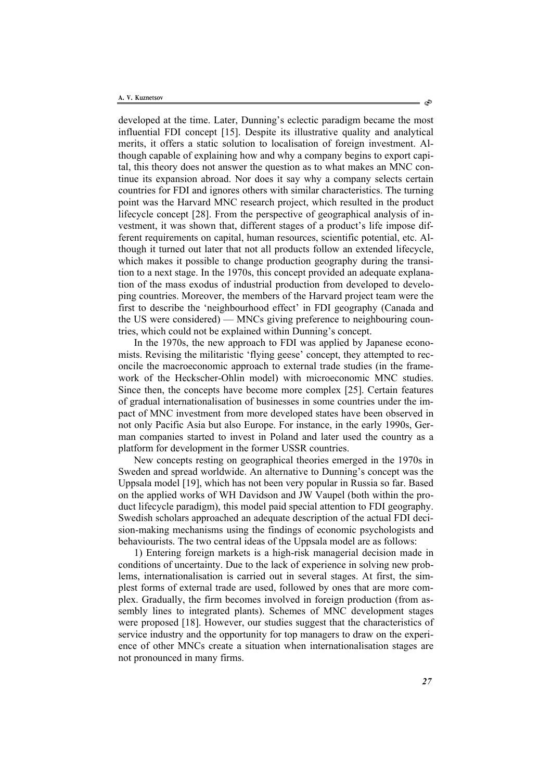developed at the time. Later, Dunning's eclectic paradigm became the most influential FDI concept [15]. Despite its illustrative quality and analytical merits, it offers a static solution to localisation of foreign investment. Although capable of explaining how and why a company begins to export capital, this theory does not answer the question as to what makes an MNC continue its expansion abroad. Nor does it say why a company selects certain countries for FDI and ignores others with similar characteristics. The turning point was the Harvard MNC research project, which resulted in the product lifecycle concept [28]. From the perspective of geographical analysis of investment, it was shown that, different stages of a product's life impose different requirements on capital, human resources, scientific potential, etc. Although it turned out later that not all products follow an extended lifecycle, which makes it possible to change production geography during the transition to a next stage. In the 1970s, this concept provided an adequate explanation of the mass exodus of industrial production from developed to developing countries. Moreover, the members of the Harvard project team were the first to describe the 'neighbourhood effect' in FDI geography (Canada and the US were considered) — MNCs giving preference to neighbouring countries, which could not be explained within Dunning's concept.

In the 1970s, the new approach to FDI was applied by Japanese economists. Revising the militaristic 'flying geese' concept, they attempted to reconcile the macroeconomic approach to external trade studies (in the framework of the Heckscher-Ohlin model) with microeconomic MNC studies. Since then, the concepts have become more complex [25]. Certain features of gradual internationalisation of businesses in some countries under the impact of MNC investment from more developed states have been observed in not only Pacific Asia but also Europe. For instance, in the early 1990s, German companies started to invest in Poland and later used the country as a platform for development in the former USSR countries.

New concepts resting on geographical theories emerged in the 1970s in Sweden and spread worldwide. An alternative to Dunning's concept was the Uppsala model [19], which has not been very popular in Russia so far. Based on the applied works of WH Davidson and JW Vaupel (both within the product lifecycle paradigm), this model paid special attention to FDI geography. Swedish scholars approached an adequate description of the actual FDI decision-making mechanisms using the findings of economic psychologists and behaviourists. The two central ideas of the Uppsala model are as follows:

1) Entering foreign markets is a high-risk managerial decision made in conditions of uncertainty. Due to the lack of experience in solving new problems, internationalisation is carried out in several stages. At first, the simplest forms of external trade are used, followed by ones that are more complex. Gradually, the firm becomes involved in foreign production (from assembly lines to integrated plants). Schemes of MNC development stages were proposed [18]. However, our studies suggest that the characteristics of service industry and the opportunity for top managers to draw on the experience of other MNCs create a situation when internationalisation stages are not pronounced in many firms.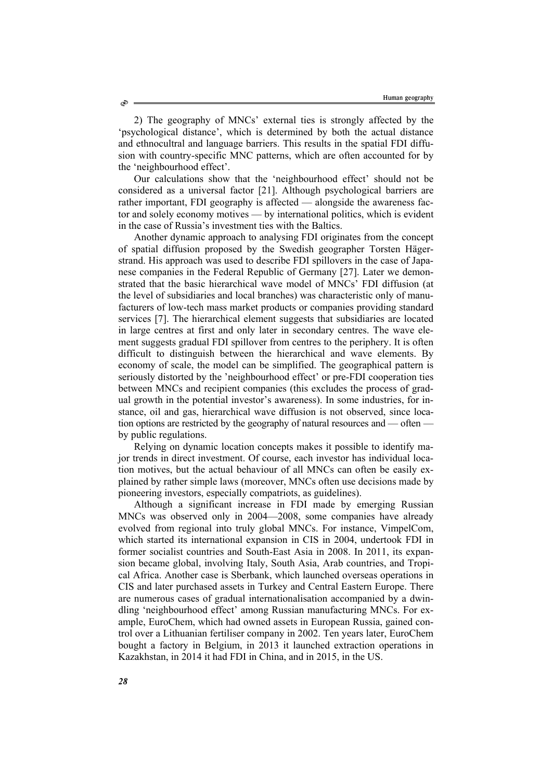2) The geography of MNCs' external ties is strongly affected by the 'psychological distance', which is determined by both the actual distance and ethnocultral and language barriers. This results in the spatial FDI diffusion with country-specific MNC patterns, which are often accounted for by the 'neighbourhood effect'.

Our calculations show that the 'neighbourhood effect' should not be considered as a universal factor [21]. Although psychological barriers are rather important, FDI geography is affected — alongside the awareness factor and solely economy motives — by international politics, which is evident in the case of Russia's investment ties with the Baltics.

Another dynamic approach to analysing FDI originates from the concept of spatial diffusion proposed by the Swedish geographer Torsten Hägerstrand. His approach was used to describe FDI spillovers in the case of Japanese companies in the Federal Republic of Germany [27]. Later we demonstrated that the basic hierarchical wave model of MNCs' FDI diffusion (at the level of subsidiaries and local branches) was characteristic only of manufacturers of low-tech mass market products or companies providing standard services [7]. The hierarchical element suggests that subsidiaries are located in large centres at first and only later in secondary centres. The wave element suggests gradual FDI spillover from centres to the periphery. It is often difficult to distinguish between the hierarchical and wave elements. By economy of scale, the model can be simplified. The geographical pattern is seriously distorted by the 'neighbourhood effect' or pre-FDI cooperation ties between MNCs and recipient companies (this excludes the process of gradual growth in the potential investor's awareness). In some industries, for instance, oil and gas, hierarchical wave diffusion is not observed, since location options are restricted by the geography of natural resources and — often by public regulations.

Relying on dynamic location concepts makes it possible to identify major trends in direct investment. Of course, each investor has individual location motives, but the actual behaviour of all MNCs can often be easily explained by rather simple laws (moreover, MNCs often use decisions made by pioneering investors, especially compatriots, as guidelines).

Although a significant increase in FDI made by emerging Russian MNCs was observed only in 2004—2008, some companies have already evolved from regional into truly global MNCs. For instance, VimpelCom, which started its international expansion in CIS in 2004, undertook FDI in former socialist countries and South-East Asia in 2008. In 2011, its expansion became global, involving Italy, South Asia, Arab countries, and Tropical Africa. Another case is Sberbank, which launched overseas operations in CIS and later purchased assets in Turkey and Central Eastern Europe. There are numerous cases of gradual internationalisation accompanied by a dwindling 'neighbourhood effect' among Russian manufacturing MNCs. For example, EuroChem, which had owned assets in European Russia, gained control over a Lithuanian fertiliser company in 2002. Ten years later, EuroChem bought a factory in Belgium, in 2013 it launched extraction operations in Kazakhstan, in 2014 it had FDI in China, and in 2015, in the US.

Ò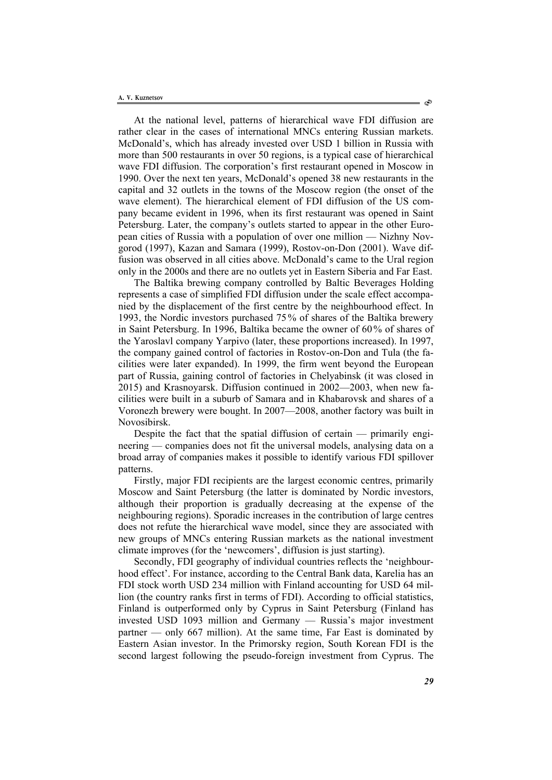At the national level, patterns of hierarchical wave FDI diffusion are rather clear in the cases of international MNCs entering Russian markets. McDonald's, which has already invested over USD 1 billion in Russia with more than 500 restaurants in over 50 regions, is a typical case of hierarchical wave FDI diffusion. The corporation's first restaurant opened in Moscow in 1990. Over the next ten years, McDonald's opened 38 new restaurants in the capital and 32 outlets in the towns of the Moscow region (the onset of the wave element). The hierarchical element of FDI diffusion of the US company became evident in 1996, when its first restaurant was opened in Saint Petersburg. Later, the company's outlets started to appear in the other European cities of Russia with a population of over one million — Nizhny Novgorod (1997), Kazan and Samara (1999), Rostov-on-Don (2001). Wave diffusion was observed in all cities above. McDonald's came to the Ural region only in the 2000s and there are no outlets yet in Eastern Siberia and Far East.

The Baltika brewing company controlled by Baltic Beverages Holding represents a case of simplified FDI diffusion under the scale effect accompanied by the displacement of the first centre by the neighbourhood effect. In 1993, the Nordic investors purchased 75 % of shares of the Baltika brewery in Saint Petersburg. In 1996, Baltika became the owner of 60% of shares of the Yaroslavl company Yarpivo (later, these proportions increased). In 1997, the company gained control of factories in Rostov-on-Don and Tula (the facilities were later expanded). In 1999, the firm went beyond the European part of Russia, gaining control of factories in Chelyabinsk (it was closed in 2015) and Krasnoyarsk. Diffusion continued in 2002—2003, when new facilities were built in a suburb of Samara and in Khabarovsk and shares of a Voronezh brewery were bought. In 2007—2008, another factory was built in Novosibirsk.

Despite the fact that the spatial diffusion of certain — primarily engineering — companies does not fit the universal models, analysing data on a broad array of companies makes it possible to identify various FDI spillover patterns.

Firstly, major FDI recipients are the largest economic centres, primarily Moscow and Saint Petersburg (the latter is dominated by Nordic investors, although their proportion is gradually decreasing at the expense of the neighbouring regions). Sporadic increases in the contribution of large centres does not refute the hierarchical wave model, since they are associated with new groups of MNCs entering Russian markets as the national investment climate improves (for the 'newcomers', diffusion is just starting).

Secondly, FDI geography of individual countries reflects the 'neighbourhood effect'. For instance, according to the Central Bank data, Karelia has an FDI stock worth USD 234 million with Finland accounting for USD 64 million (the country ranks first in terms of FDI). According to official statistics, Finland is outperformed only by Cyprus in Saint Petersburg (Finland has invested USD 1093 million and Germany — Russia's major investment partner — only 667 million). At the same time, Far East is dominated by Eastern Asian investor. In the Primorsky region, South Korean FDI is the second largest following the pseudo-foreign investment from Cyprus. The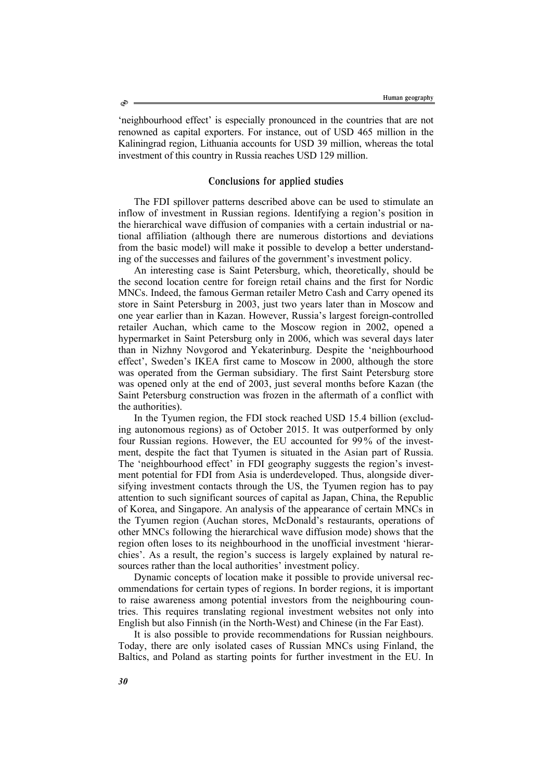'neighbourhood effect' is especially pronounced in the countries that are not renowned as capital exporters. For instance, out of USD 465 million in the Kaliningrad region, Lithuania accounts for USD 39 million, whereas the total investment of this country in Russia reaches USD 129 million.

### Conclusions for applied studies

The FDI spillover patterns described above can be used to stimulate an inflow of investment in Russian regions. Identifying a region's position in the hierarchical wave diffusion of companies with a certain industrial or national affiliation (although there are numerous distortions and deviations from the basic model) will make it possible to develop a better understanding of the successes and failures of the government's investment policy.

An interesting case is Saint Petersburg, which, theoretically, should be the second location centre for foreign retail chains and the first for Nordic MNCs. Indeed, the famous German retailer Metro Cash and Carry opened its store in Saint Petersburg in 2003, just two years later than in Moscow and one year earlier than in Kazan. However, Russia's largest foreign-controlled retailer Auchan, which came to the Moscow region in 2002, opened a hypermarket in Saint Petersburg only in 2006, which was several days later than in Nizhny Novgorod and Yekaterinburg. Despite the 'neighbourhood effect', Sweden's IKEA first came to Moscow in 2000, although the store was operated from the German subsidiary. The first Saint Petersburg store was opened only at the end of 2003, just several months before Kazan (the Saint Petersburg construction was frozen in the aftermath of a conflict with the authorities).

In the Tyumen region, the FDI stock reached USD 15.4 billion (excluding autonomous regions) as of October 2015. It was outperformed by only four Russian regions. However, the EU accounted for 99 % of the investment, despite the fact that Tyumen is situated in the Asian part of Russia. The 'neighbourhood effect' in FDI geography suggests the region's investment potential for FDI from Asia is underdeveloped. Thus, alongside diversifying investment contacts through the US, the Tyumen region has to pay attention to such significant sources of capital as Japan, China, the Republic of Korea, and Singapore. An analysis of the appearance of certain MNCs in the Tyumen region (Auchan stores, McDonald's restaurants, operations of other MNCs following the hierarchical wave diffusion mode) shows that the region often loses to its neighbourhood in the unofficial investment 'hierarchies'. As a result, the region's success is largely explained by natural resources rather than the local authorities' investment policy.

Dynamic concepts of location make it possible to provide universal recommendations for certain types of regions. In border regions, it is important to raise awareness among potential investors from the neighbouring countries. This requires translating regional investment websites not only into English but also Finnish (in the North-West) and Chinese (in the Far East).

It is also possible to provide recommendations for Russian neighbours. Today, there are only isolated cases of Russian MNCs using Finland, the Baltics, and Poland as starting points for further investment in the EU. In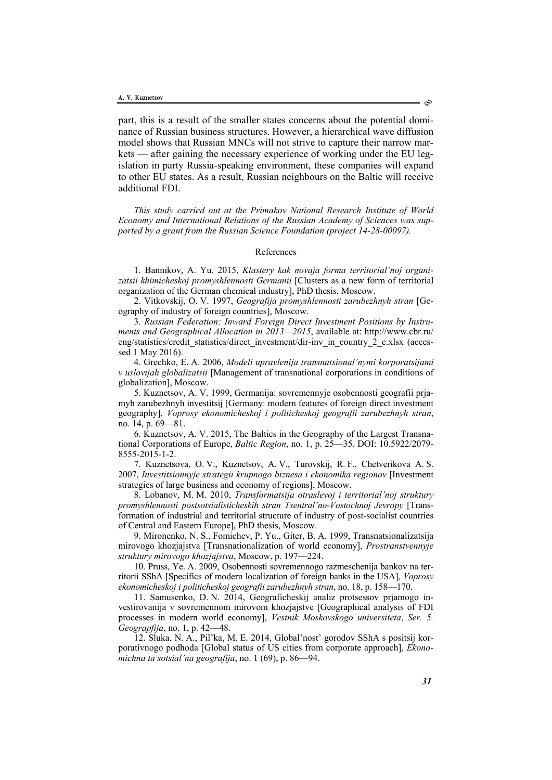part, this is a result of the smaller states concerns about the potential dominance of Russian business structures. However, a hierarchical wave diffusion model shows that Russian MNCs will not strive to capture their narrow markets — after gaining the necessary experience of working under the EU legislation in party Russia-speaking environment, these companies will expand to other EU states. As a result, Russian neighbours on the Baltic will receive additional FDI.

*This study carried out at the Primakov National Research Institute of World Economy and International Relations of the Russian Academy of Sciences was supported by a grant from the Russian Science Foundation (project 14-28-00097).*

#### References

1. Bannikov, A. Yu. 2015, *Klastery kak novaja forma territorial'noj organizatsii khimicheskoj promyshlennosti Germanii* [Clusters as a new form of territorial organization of the German chemical industry], PhD thesis, Moscow.

2. Vitkovskij, O. V. 1997, *Geografija promyshlennosti zarubezhnyh stran* [Geography of industry of foreign countries], Moscow.

3. *Russian Federation: Inward Foreign Direct Investment Positions by Instruments and Geographical Allocation in 2013—2015*, available at: http://www.cbr.ru/ eng/statistics/credit\_statistics/direct\_investment/dir-inv\_in\_country\_2\_e.xlsx (accessed 1 May 2016).

4. Grechko, E. A. 2006, *Modeli upravlenija transnatsional'nymi korporatsijami v uslovijah globalizatsii* [Management of transnational corporations in conditions of globalization], Moscow.

5. Kuznetsov, A. V. 1999, Germanija: sovremennyje osobennosti geografii prjamyh zarubezhnyh investitsij [Germany: modern features of foreign direct investment geography], *Voprosy ekonomicheskoj i politicheskoj geografii zarubezhnyh stran*, no. 14, p. 69—81.

6. Kuznetsov, A. V. 2015, The Baltics in the Geography of the Largest Transnational Corporations of Europe, *Baltic Region*, no. 1, p. 25—35. DOI: 10.5922/2079- 8555-2015-1-2.

7. Kuznetsova, O. V., Kuznetsov, A. V., Turovskij, R. F., Chetverikova A. S. 2007, *Investitsionnyje strategii krupnogo biznesa i ekonomika regionov* [Investment strategies of large business and economy of regions], Moscow.

8. Lobanov, M. M. 2010, *Transformatsija otraslevoj i territorial'noj struktury promyshlennosti postsotsialisticheskih stran Tsentral'no-Vostochnoj Jevropy* [Transformation of industrial and territorial structure of industry of post-socialist countries of Central and Eastern Europe], PhD thesis, Moscow.

9. Mironenko, N. S., Fomichev, P. Yu., Giter, B. A. 1999, Transnatsionalizatsija mirovogo khozjajstva [Transnationalization of world economy], *Prostranstvennyje struktury mirovogo khozjajstva*, Moscow, p. 197—224.

10. Pruss, Ye. A. 2009, Osobennosti sovremennogo razmeschenija bankov na territorii SShA [Specifics of modern localization of foreign banks in the USA], *Voprosy ekonomicheskoj i politicheskoj geografii zarubezhnyh stran*, no. 18, p. 158—170.

11. Samusenko, D. N. 2014, Geograficheskij analiz protsessov prjamogo investirovanija v sovremennom mirovom khozjajstve [Geographical analysis of FDI processes in modern world economy], *Vestnik Moskovskogo universiteta*, *Ser. 5. Geograpfija*, no. 1, p. 42—48.

12. Sluka, N. A., Pil'ka, M. E. 2014, Global'nost' gorodov SShA s positsij korporativnogo podhoda [Global status of US cities from corporate approach], *Ekonomichna ta sotsial'na geografija*, no. 1 (69), p. 86—94.